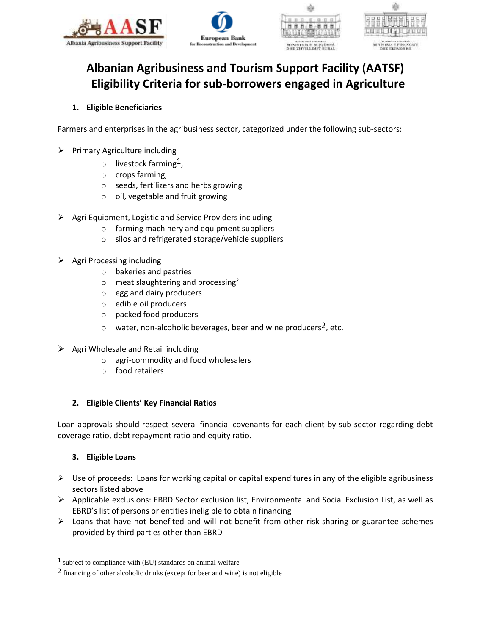





# **Albanian Agribusiness and Tourism Support Facility (AATSF) Eligibility Criteria for sub-borrowers engaged in Agriculture**

## **1. Eligible Beneficiaries**

Farmers and enterprises in the agribusiness sector, categorized under the following sub-sectors:

- $\triangleright$  Primary Agriculture including
	- $\circ$  livestock farming<sup>1</sup>,
	- o crops farming,
	- o seeds, fertilizers and herbs growing
	- o oil, vegetable and fruit growing
- $\triangleright$  Agri Equipment, Logistic and Service Providers including
	- o farming machinery and equipment suppliers
	- o silos and refrigerated storage/vehicle suppliers
- $\triangleright$  Agri Processing including
	- o bakeries and pastries
	- $\circ$  meat slaughtering and processing<sup>2</sup>
	- o egg and dairy producers
	- o edible oil producers
	- o packed food producers
	- $\circ$  water, non-alcoholic beverages, beer and wine producers<sup>2</sup>, etc.
- $\triangleright$  Agri Wholesale and Retail including
	- o agri-commodity and food wholesalers
	- o food retailers

# **2. Eligible Clients' Key Financial Ratios**

Loan approvals should respect several financial covenants for each client by sub-sector regarding debt coverage ratio, debt repayment ratio and equity ratio.

# **3. Eligible Loans**

 $\overline{a}$ 

- $\triangleright$  Use of proceeds: Loans for working capital or capital expenditures in any of the eligible agribusiness sectors listed above
- $\triangleright$  Applicable exclusions: EBRD Sector exclusion list, Environmental and Social Exclusion List, as well as EBRD's list of persons or entities ineligible to obtain financing
- $\triangleright$  Loans that have not benefited and will not benefit from other risk-sharing or guarantee schemes provided by third parties other than EBRD

<sup>1</sup> subject to compliance with (EU) standards on animal welfare

<sup>2</sup> financing of other alcoholic drinks (except for beer and wine) is not eligible